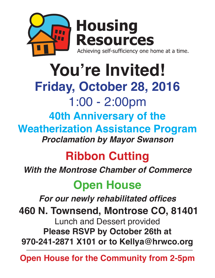

### **You're Invited! Friday, October 28, 2016** 1:00 - 2:00pm **40th Anniversary of the Weatherization Assistance Program** *Proclamation by Mayor Swanson*

# **Ribbon Cutting**

*With the Montrose Chamber of Commerce*

# **Open House**

**For our newly rehabilitated offices**

 **460 N. Townsend, Montrose CO, 81401** Lunch and Dessert provided **Please RSVP by October 26th at 970-241-2871 X101 or to Kellya@hrwco.org**

**Open House for the Community from 2-5pm**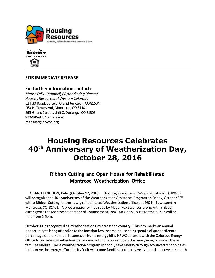



#### **FOR IMMEDIATE RELEASE**

#### **For furtherinformation contact:**

*Marisa Felix-Campbell, PR/Marketing Director Housing Resources of Western Colorado* 524 30 Road, Suite 3, Grand Junction, CO 81504 460 N. Townsend, Montrose, CO 81401 295 Girard Street, Unit C, Durango, CO 81303 970-986-9234 office/cell marisafc@hrwco.org

### **Housing Resources Celebrates 40th Anniversary of Weatherization Day, October 28, 2016**

### **Ribbon Cutting and Open House for Rehabilitated Montrose Weatherization Office**

 **GRAND JUNCTION, Colo. (October 17, 2016)** – Housing Resources of Western Colorado (HRWC) will recognize the 40<sup>th</sup> Anniversary of the Weatherization Assistance Program on Friday, October 28<sup>th</sup> with a Ribbon Cutting for the newly rehabilitated Weatherization office's at 460 N. Townsend in Montrose, CO. 81401. A proclamation will be read by Mayor Rex Swanson along with a ribbon cutting with the Montrose Chamber of Commerce at 1pm. An Open House for the public will be held from 2-5pm.

October 30 is recognized as Weatherization Day across the country. This day marks an annual opportunity to bring attention to the fact that low income households spend a disproportionate percentage of their annual incomes on home energy bills. HRWC partners with the Colorado Energy Office to provide cost-effective, permanent solutions for reducing the heavy energy burden these families endure. These weatherization programs not only save energy through advanced technologies to improve the energy affordability for low-income families, but also save lives and improve the health